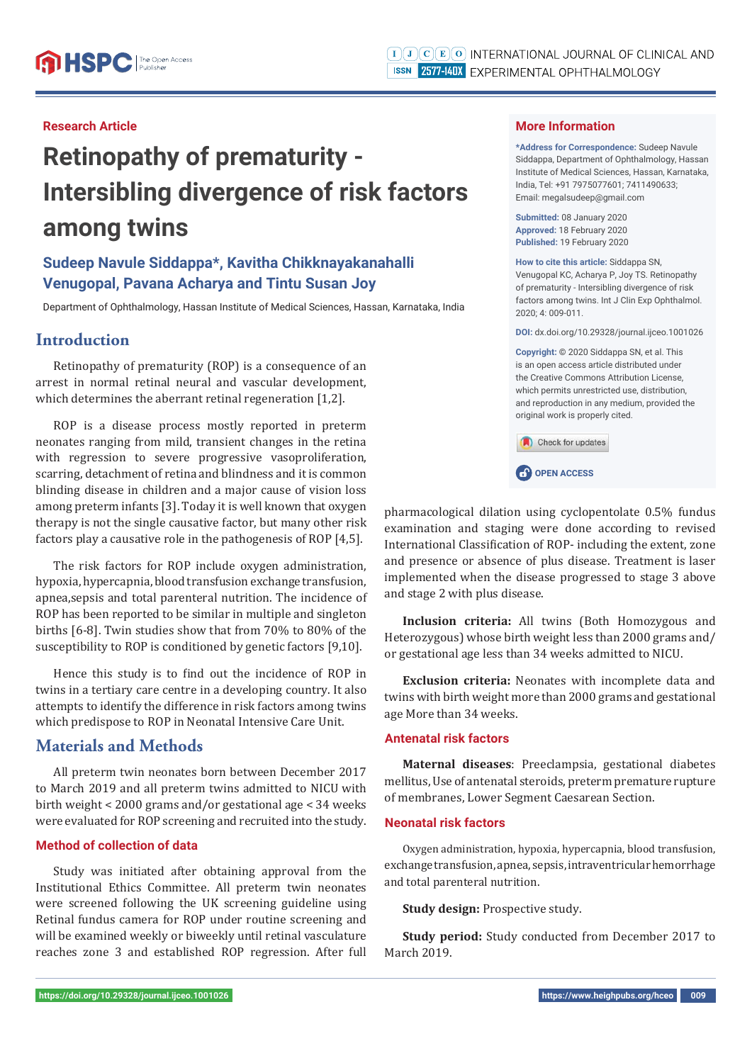### **Research Article**

# **Retinopathy of prematurity - Intersibling divergence of risk factors among twins**

# **Sudeep Navule Siddappa\*, Kavitha Chikknayakanahalli Venugopal, Pavana Acharya and Tintu Susan Joy**

Department of Ophthalmology, Hassan Institute of Medical Sciences, Hassan, Karnataka, India

# **Introduction**

Retinopathy of prematurity (ROP) is a consequence of an arrest in normal retinal neural and vascular development, which determines the aberrant retinal regeneration [1,2].

ROP is a disease process mostly reported in preterm neonates ranging from mild, transient changes in the retina with regression to severe progressive vasoproliferation, scarring, detachment of retina and blindness and it is common blinding disease in children and a major cause of vision loss among preterm infants [3]. Today it is well known that oxygen therapy is not the single causative factor, but many other risk factors play a causative role in the pathogenesis of ROP [4,5].

The risk factors for ROP include oxygen administration, hypoxia, hypercapnia, blood transfusion exchange transfusion, apnea,sepsis and total parenteral nutrition. The incidence of ROP has been reported to be similar in multiple and singleton births [6-8]. Twin studies show that from 70% to 80% of the susceptibility to ROP is conditioned by genetic factors [9,10].

Hence this study is to find out the incidence of ROP in twins in a tertiary care centre in a developing country. It also attempts to identify the difference in risk factors among twins which predispose to ROP in Neonatal Intensive Care Unit.

## **Materials and Methods**

All preterm twin neonates born between December 2017 to March 2019 and all preterm twins admitted to NICU with birth weight < 2000 grams and/or gestational age < 34 weeks were evaluated for ROP screening and recruited into the study.

#### **Method of collection of data**

Study was initiated after obtaining approval from the Institutional Ethics Committee. All preterm twin neonates were screened following the UK screening guideline using Retinal fundus camera for ROP under routine screening and will be examined weekly or biweekly until retinal vasculature reaches zone 3 and established ROP regression. After full

#### **More Information**

**\*Address for Correspondence:** Sudeep Navule Siddappa, Department of Ophthalmology, Hassan Institute of Medical Sciences, Hassan, Karnataka, India, Tel: +91 7975077601; 7411490633; Email: megalsudeep@gmail.com

**Submitted:** 08 January 2020 **Approved:** 18 February 2020 **Published:** 19 February 2020

**How to cite this article:** Siddappa SN, Venugopal KC, Acharya P, Joy TS. Retinopathy of prematurity - Intersibling divergence of risk factors among twins. Int J Clin Exp Ophthalmol. 2020; 4: 009-011.

**DOI:** dx.doi.org/10.29328/journal.ijceo.1001026

**Copyright: ©** 2020 Siddappa SN, et al. This is an open access article distributed under the Creative Commons Attribution License, which permits unrestricted use, distribution, and reproduction in any medium, provided the original work is properly cited.

| <b>Check for updates</b> |
|--------------------------|
| <b>CP</b> OPEN ACCESS    |

pharmacological dilation using cyclopentolate 0.5% fundus examination and staging were done according to revised International Classification of ROP- including the extent, zone and presence or absence of plus disease. Treatment is laser implemented when the disease progressed to stage 3 above and stage 2 with plus disease.

**Inclusion criteria:** All twins (Both Homozygous and Heterozygous) whose birth weight less than 2000 grams and/ or gestational age less than 34 weeks admitted to NICU.

**Exclusion criteria:** Neonates with incomplete data and twins with birth weight more than 2000 grams and gestational age More than 34 weeks.

#### **Antenatal risk factors**

**Maternal diseases**: Preeclampsia, gestational diabetes mellitus, Use of antenatal steroids, preterm premature rupture of membranes, Lower Segment Caesarean Section.

#### **Neonatal risk factors**

Oxygen administration, hypoxia, hypercapnia, blood transfusion, exchange transfusion, apnea, sepsis, intraventricular hemorrhage and total parenteral nutrition.

**Study design:** Prospective study.

**Study period:** Study conducted from December 2017 to March 2019.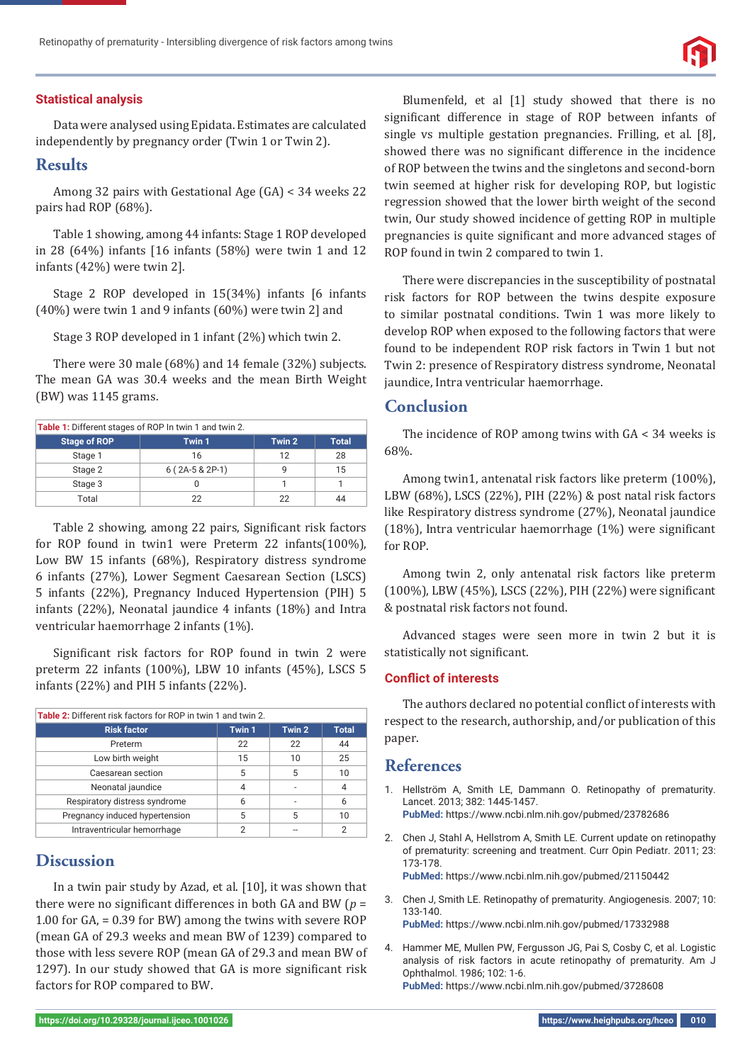#### **Statistical analysis**

Data were analysed using Epidata. Estimates are calculated independently by pregnancy order (Twin 1 or Twin 2).

## **Results**

Among 32 pairs with Gestational Age (GA) < 34 weeks 22 pairs had ROP (68%).

Table 1 showing, among 44 infants: Stage 1 ROP developed in 28 (64%) infants [16 infants (58%) were twin 1 and 12 infants (42%) were twin 2].

Stage 2 ROP developed in 15(34%) infants [6 infants (40%) were twin 1 and 9 infants (60%) were twin 2] and

Stage 3 ROP developed in 1 infant (2%) which twin 2.

There were 30 male (68%) and 14 female (32%) subjects. The mean GA was 30.4 weeks and the mean Birth Weight (BW) was 1145 grams.

| Table 1: Different stages of ROP In twin 1 and twin 2. |                |        |              |  |  |  |
|--------------------------------------------------------|----------------|--------|--------------|--|--|--|
| <b>Stage of ROP</b>                                    | Twin 1         | Twin 2 | <b>Total</b> |  |  |  |
| Stage 1                                                | 16             | 12     | 28           |  |  |  |
| Stage 2                                                | $6(2A-5&2P-1)$ |        | 15           |  |  |  |
| Stage 3                                                |                |        |              |  |  |  |
| Total                                                  | 22             | 22     | 44           |  |  |  |

Table 2 showing, among 22 pairs, Significant risk factors for ROP found in twin1 were Preterm 22 infants(100%), Low BW 15 infants (68%), Respiratory distress syndrome 6 infants (27%), Lower Segment Caesarean Section (LSCS) 5 infants (22%), Pregnancy Induced Hypertension (PIH) 5 infants (22%), Neonatal jaundice 4 infants (18%) and Intra ventricular haemorrhage 2 infants (1%).

Significant risk factors for ROP found in twin 2 were preterm 22 infants (100%), LBW 10 infants (45%), LSCS 5 infants (22%) and PIH 5 infants (22%).

| <b>Table 2:</b> Different risk factors for ROP in twin 1 and twin 2. |        |        |              |  |  |
|----------------------------------------------------------------------|--------|--------|--------------|--|--|
| <b>Risk factor</b>                                                   | Twin 1 | Twin 2 | <b>Total</b> |  |  |
| Preterm                                                              | 22     | 22     | 44           |  |  |
| Low birth weight                                                     | 15     | 10     | 25           |  |  |
| Caesarean section                                                    | 5      | 5      | 10           |  |  |
| Neonatal jaundice                                                    | 4      |        |              |  |  |
| Respiratory distress syndrome                                        | 6      |        | 6            |  |  |
| Pregnancy induced hypertension                                       | 5      | 5      | 10           |  |  |
| Intraventricular hemorrhage                                          | っ      |        |              |  |  |

## **Discussion**

In a twin pair study by Azad, et al. [10], it was shown that there were no significant differences in both GA and BW ( $p =$ 1.00 for GA, = 0.39 for BW) among the twins with severe ROP (mean GA of 29.3 weeks and mean BW of 1239) compared to those with less severe ROP (mean GA of 29.3 and mean BW of 1297). In our study showed that GA is more significant risk factors for ROP compared to BW.

Blumenfeld, et al [1] study showed that there is no significant difference in stage of ROP between infants of single vs multiple gestation pregnancies. Frilling, et al. [8], showed there was no significant difference in the incidence of ROP between the twins and the singletons and second-born twin seemed at higher risk for developing ROP, but logistic regression showed that the lower birth weight of the second twin, Our study showed incidence of getting ROP in multiple pregnancies is quite significant and more advanced stages of ROP found in twin 2 compared to twin 1.

There were discrepancies in the susceptibility of postnatal risk factors for ROP between the twins despite exposure to similar postnatal conditions. Twin 1 was more likely to develop ROP when exposed to the following factors that were found to be independent ROP risk factors in Twin 1 but not Twin 2: presence of Respiratory distress syndrome, Neonatal jaundice, Intra ventricular haemorrhage.

## **Conclusion**

The incidence of ROP among twins with GA < 34 weeks is 68%.

Among twin1, antenatal risk factors like preterm (100%), LBW (68%), LSCS (22%), PIH (22%) & post natal risk factors like Respiratory distress syndrome (27%), Neonatal jaundice (18%), Intra ventricular haemorrhage  $(1%)$  were significant for ROP.

Among twin 2, only antenatal risk factors like preterm (100%), LBW (45%), LSCS (22%), PIH (22%) were significant & postnatal risk factors not found.

Advanced stages were seen more in twin 2 but it is statistically not significant.

#### **Conflict of interests**

The authors declared no potential conflict of interests with respect to the research, authorship, and/or publication of this paper.

## **References**

- 1. Hellström A, Smith LE, Dammann O. Retinopathy of prematurity. Lancet. 2013; 382: 1445-1457. **PubMed:** https://www.ncbi.nlm.nih.gov/pubmed/23782686
- 2. Chen J, Stahl A, Hellstrom A, Smith LE. Current update on retinopathy of prematurity: screening and treatment. Curr Opin Pediatr. 2011; 23: 173-178. **PubMed:** https://www.ncbi.nlm.nih.gov/pubmed/21150442
- 3. Chen J, Smith LE. Retinopathy of prematurity. Angiogenesis. 2007; 10: 133-140.

**PubMed:** https://www.ncbi.nlm.nih.gov/pubmed/17332988

4. Hammer ME, Mullen PW, Fergusson JG, Pai S, Cosby C, et al. Logistic analysis of risk factors in acute retinopathy of prematurity. Am J Ophthalmol. 1986; 102: 1-6. **PubMed:** https://www.ncbi.nlm.nih.gov/pubmed/3728608